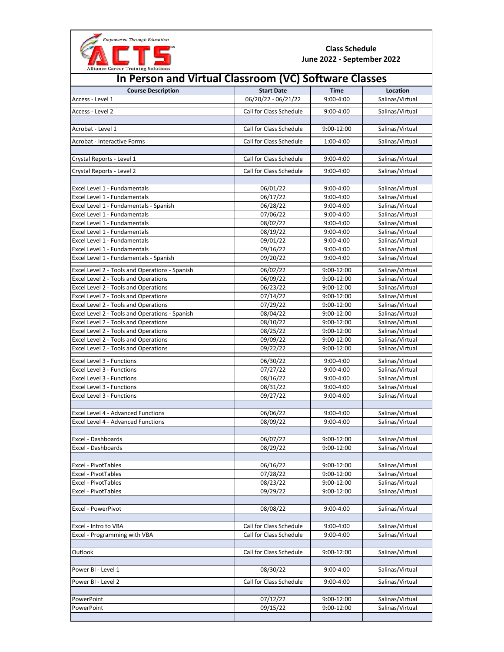

| <b>Alliance Career Training Solutions</b>             |                         |               |                 |  |  |
|-------------------------------------------------------|-------------------------|---------------|-----------------|--|--|
| In Person and Virtual Classroom (VC) Software Classes |                         |               |                 |  |  |
| <b>Course Description</b>                             | <b>Start Date</b>       | <b>Time</b>   | Location        |  |  |
| Access - Level 1                                      | 06/20/22 - 06/21/22     | $9:00 - 4:00$ | Salinas/Virtual |  |  |
| Access - Level 2                                      | Call for Class Schedule | $9:00 - 4:00$ | Salinas/Virtual |  |  |
|                                                       |                         |               |                 |  |  |
| Acrobat - Level 1                                     | Call for Class Schedule | 9:00-12:00    | Salinas/Virtual |  |  |
| Acrobat - Interactive Forms                           | Call for Class Schedule | 1:00-4:00     | Salinas/Virtual |  |  |
| Crystal Reports - Level 1                             | Call for Class Schedule | $9:00 - 4:00$ | Salinas/Virtual |  |  |
|                                                       |                         |               |                 |  |  |
| Crystal Reports - Level 2                             | Call for Class Schedule | $9:00 - 4:00$ | Salinas/Virtual |  |  |
| Excel Level 1 - Fundamentals                          | 06/01/22                | $9:00 - 4:00$ | Salinas/Virtual |  |  |
| Excel Level 1 - Fundamentals                          | 06/17/22                | $9:00 - 4:00$ | Salinas/Virtual |  |  |
| Excel Level 1 - Fundamentals - Spanish                | 06/28/22                | $9:00 - 4:00$ | Salinas/Virtual |  |  |
| Excel Level 1 - Fundamentals                          | 07/06/22                | 9:00-4:00     | Salinas/Virtual |  |  |
| Excel Level 1 - Fundamentals                          | 08/02/22                | $9:00 - 4:00$ | Salinas/Virtual |  |  |
| Excel Level 1 - Fundamentals                          | 08/19/22                | 9:00-4:00     | Salinas/Virtual |  |  |
| Excel Level 1 - Fundamentals                          | 09/01/22                | $9:00 - 4:00$ | Salinas/Virtual |  |  |
| Excel Level 1 - Fundamentals                          | 09/16/22                | 9:00-4:00     | Salinas/Virtual |  |  |
| Excel Level 1 - Fundamentals - Spanish                | 09/20/22                | $9:00 - 4:00$ | Salinas/Virtual |  |  |
| Excel Level 2 - Tools and Operations - Spanish        | 06/02/22                | 9:00-12:00    | Salinas/Virtual |  |  |
| Excel Level 2 - Tools and Operations                  | 06/09/22                | 9:00-12:00    | Salinas/Virtual |  |  |
| Excel Level 2 - Tools and Operations                  | 06/23/22                | 9:00-12:00    | Salinas/Virtual |  |  |
| Excel Level 2 - Tools and Operations                  | 07/14/22                | 9:00-12:00    | Salinas/Virtual |  |  |
|                                                       |                         |               |                 |  |  |
| Excel Level 2 - Tools and Operations                  | 07/29/22                | 9:00-12:00    | Salinas/Virtual |  |  |
| Excel Level 2 - Tools and Operations - Spanish        | 08/04/22                | 9:00-12:00    | Salinas/Virtual |  |  |
| Excel Level 2 - Tools and Operations                  | 08/10/22                | 9:00-12:00    | Salinas/Virtual |  |  |
| Excel Level 2 - Tools and Operations                  | 08/25/22                | 9:00-12:00    | Salinas/Virtual |  |  |
| Excel Level 2 - Tools and Operations                  | 09/09/22                | 9:00-12:00    | Salinas/Virtual |  |  |
| Excel Level 2 - Tools and Operations                  | 09/22/22                | 9:00-12:00    | Salinas/Virtual |  |  |
| Excel Level 3 - Functions                             | 06/30/22                | 9:00-4:00     | Salinas/Virtual |  |  |
| Excel Level 3 - Functions                             | 07/27/22                | $9:00 - 4:00$ | Salinas/Virtual |  |  |
| Excel Level 3 - Functions                             | 08/16/22                | $9:00 - 4:00$ | Salinas/Virtual |  |  |
| Excel Level 3 - Functions                             | 08/31/22                | $9:00 - 4:00$ | Salinas/Virtual |  |  |
| Excel Level 3 - Functions                             | 09/27/22                | $9:00 - 4:00$ | Salinas/Virtual |  |  |
|                                                       |                         |               |                 |  |  |
| Excel Level 4 - Advanced Functions                    | 06/06/22                | $9:00 - 4:00$ | Salinas/Virtual |  |  |
| Excel Level 4 - Advanced Functions                    | 08/09/22                | $9:00 - 4:00$ | Salinas/Virtual |  |  |
| Excel - Dashboards                                    | 06/07/22                | 9:00-12:00    | Salinas/Virtual |  |  |
| Excel - Dashboards                                    | 08/29/22                | 9:00-12:00    | Salinas/Virtual |  |  |
|                                                       |                         |               |                 |  |  |
| Excel - PivotTables                                   | 06/16/22                | 9:00-12:00    | Salinas/Virtual |  |  |
| <b>Excel - PivotTables</b>                            | 07/28/22                | 9:00-12:00    | Salinas/Virtual |  |  |
| Excel - PivotTables                                   | 08/23/22                | 9:00-12:00    | Salinas/Virtual |  |  |
| Excel - PivotTables                                   | 09/29/22                | 9:00-12:00    | Salinas/Virtual |  |  |
|                                                       |                         |               |                 |  |  |
| Excel - PowerPivot                                    | 08/08/22                | 9:00-4:00     | Salinas/Virtual |  |  |
|                                                       |                         |               |                 |  |  |
| Excel - Intro to VBA                                  | Call for Class Schedule | 9:00-4:00     | Salinas/Virtual |  |  |
| Excel - Programming with VBA                          | Call for Class Schedule | 9:00-4:00     | Salinas/Virtual |  |  |
|                                                       |                         |               |                 |  |  |
| Outlook                                               | Call for Class Schedule | 9:00-12:00    | Salinas/Virtual |  |  |
| Power BI - Level 1                                    | 08/30/22                | 9:00-4:00     | Salinas/Virtual |  |  |
| Power BI - Level 2                                    | Call for Class Schedule | 9:00-4:00     | Salinas/Virtual |  |  |
|                                                       |                         |               |                 |  |  |
| PowerPoint                                            | 07/12/22                | 9:00-12:00    | Salinas/Virtual |  |  |
| PowerPoint                                            | 09/15/22                | 9:00-12:00    | Salinas/Virtual |  |  |
|                                                       |                         |               |                 |  |  |